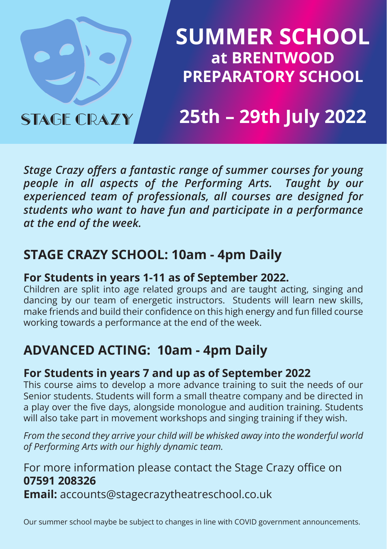

## **SUMMER SCHOOL at BRENTWOOD PREPARATORY SCHOOL**

# **25th – 29th July 2022**

*Stage Crazy offers a fantastic range of summer courses for young people in all aspects of the Performing Arts. Taught by our experienced team of professionals, all courses are designed for students who want to have fun and participate in a performance at the end of the week.*

## **STAGE CRAZY SCHOOL: 10am - 4pm Daily**

### **For Students in years 1-11 as of September 2022.**

Children are split into age related groups and are taught acting, singing and dancing by our team of energetic instructors. Students will learn new skills, make friends and build their confidence on this high energy and fun filled course working towards a performance at the end of the week.

## **ADVANCED ACTING: 10am - 4pm Daily**

### **For Students in years 7 and up as of September 2022**

This course aims to develop a more advance training to suit the needs of our Senior students. Students will form a small theatre company and be directed in a play over the five days, alongside monologue and audition training. Students will also take part in movement workshops and singing training if they wish.

*From the second they arrive your child will be whisked away into the wonderful world of Performing Arts with our highly dynamic team.*

### For more information please contact the Stage Crazy office on **07591 208326 Email:** accounts@stagecrazytheatreschool.co.uk

Our summer school maybe be subject to changes in line with COVID government announcements.